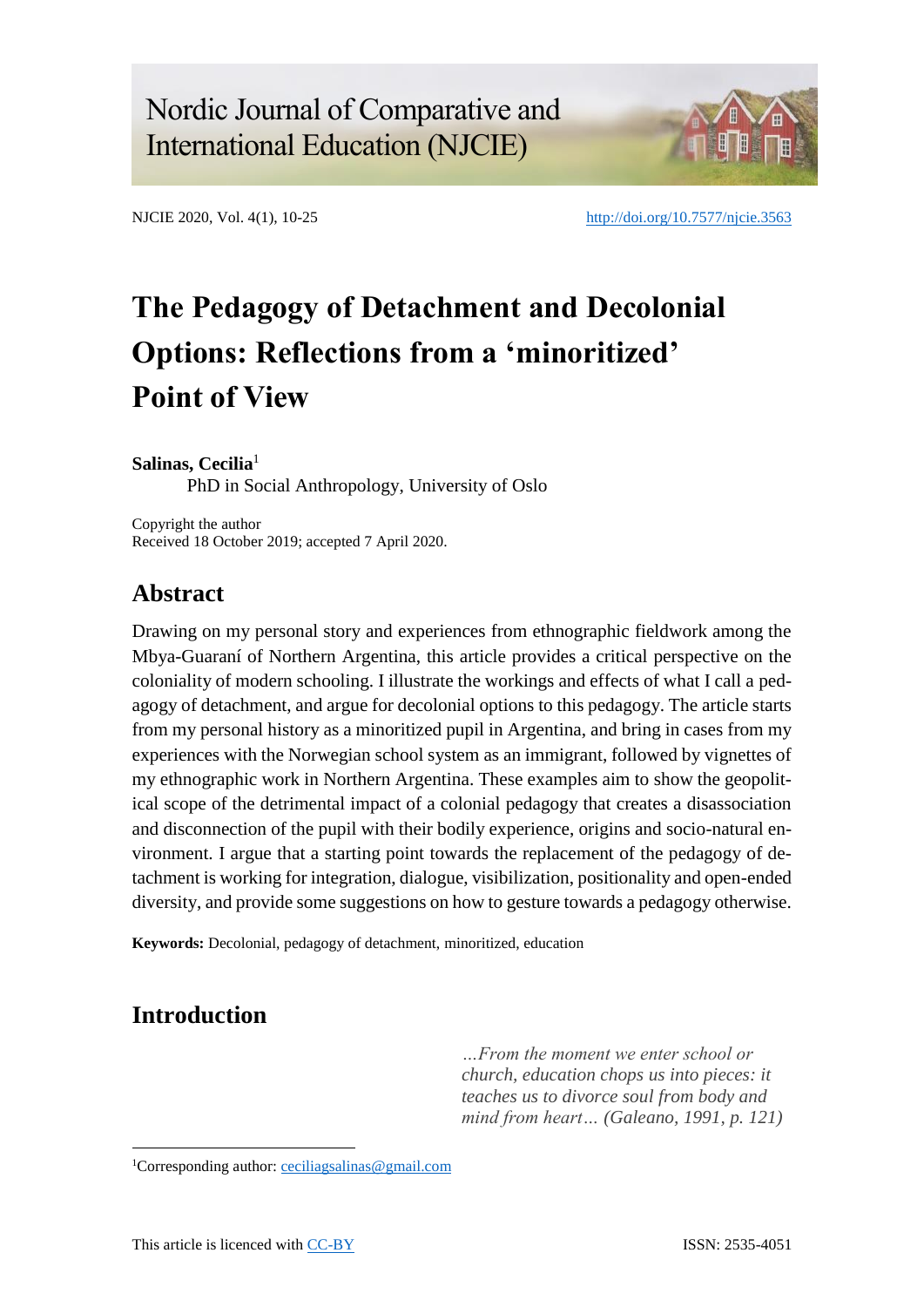# Nordic Journal of Comparative and International Education (NJCIE)



NJCIE 2020, Vol. 4(1), 10-25 <http://doi.org/10.7577/njcie.3563>

# **The Pedagogy of Detachment and Decolonial Options: Reflections from a 'minoritized' Point of View**

**Salinas, Cecilia**<sup>1</sup>

PhD in Social Anthropology, University of Oslo

Copyright the author Received 18 October 2019; accepted 7 April 2020.

## **Abstract**

Drawing on my personal story and experiences from ethnographic fieldwork among the Mbya-Guaraní of Northern Argentina, this article provides a critical perspective on the coloniality of modern schooling. I illustrate the workings and effects of what I call a pedagogy of detachment, and argue for decolonial options to this pedagogy. The article starts from my personal history as a minoritized pupil in Argentina, and bring in cases from my experiences with the Norwegian school system as an immigrant, followed by vignettes of my ethnographic work in Northern Argentina. These examples aim to show the geopolitical scope of the detrimental impact of a colonial pedagogy that creates a disassociation and disconnection of the pupil with their bodily experience, origins and socio-natural environment. I argue that a starting point towards the replacement of the pedagogy of detachment is working for integration, dialogue, visibilization, positionality and open-ended diversity, and provide some suggestions on how to gesture towards a pedagogy otherwise.

**Keywords:** Decolonial, pedagogy of detachment, minoritized, education

# **Introduction**

<u>.</u>

*…From the moment we enter school or church, education chops us into pieces: it teaches us to divorce soul from body and mind from heart… (Galeano, 1991, p. 121)*

<sup>&</sup>lt;sup>1</sup>Corresponding author: [ceciliagsalinas@gmail.com](mailto:ceciliagsalinas@gmail.com)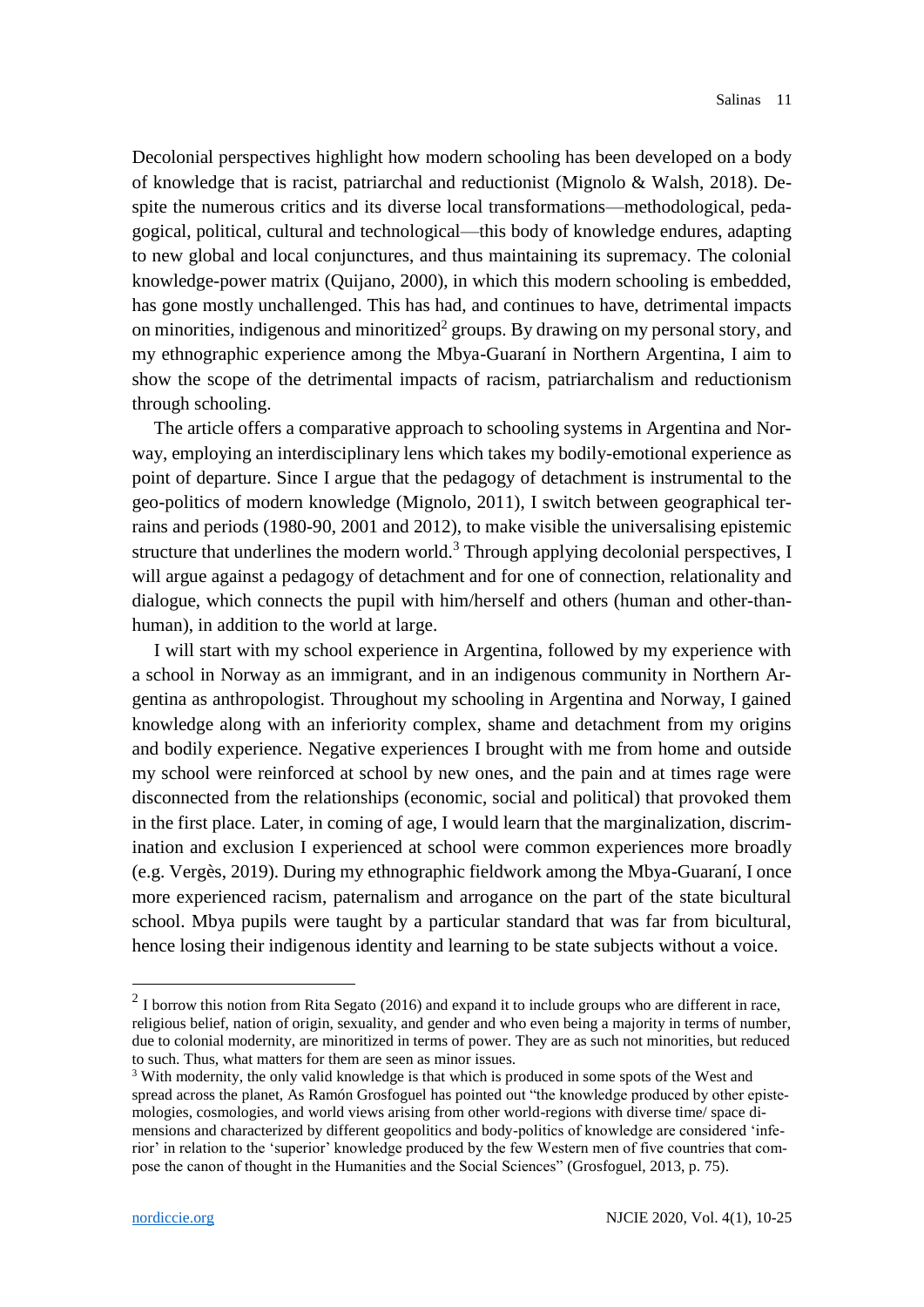Decolonial perspectives highlight how modern schooling has been developed on a body of knowledge that is racist, patriarchal and reductionist (Mignolo & Walsh, 2018). Despite the numerous critics and its diverse local transformations—methodological, pedagogical, political, cultural and technological—this body of knowledge endures, adapting to new global and local conjunctures, and thus maintaining its supremacy. The colonial knowledge-power matrix (Quijano, 2000), in which this modern schooling is embedded, has gone mostly unchallenged. This has had, and continues to have, detrimental impacts on minorities, indigenous and minoritized<sup>2</sup> groups. By drawing on my personal story, and my ethnographic experience among the Mbya-Guaraní in Northern Argentina, I aim to show the scope of the detrimental impacts of racism, patriarchalism and reductionism through schooling.

The article offers a comparative approach to schooling systems in Argentina and Norway, employing an interdisciplinary lens which takes my bodily-emotional experience as point of departure. Since I argue that the pedagogy of detachment is instrumental to the geo-politics of modern knowledge (Mignolo, 2011), I switch between geographical terrains and periods (1980-90, 2001 and 2012), to make visible the universalising epistemic structure that underlines the modern world. $3$  Through applying decolonial perspectives, I will argue against a pedagogy of detachment and for one of connection, relationality and dialogue, which connects the pupil with him/herself and others (human and other-thanhuman), in addition to the world at large.

I will start with my school experience in Argentina, followed by my experience with a school in Norway as an immigrant, and in an indigenous community in Northern Argentina as anthropologist. Throughout my schooling in Argentina and Norway, I gained knowledge along with an inferiority complex, shame and detachment from my origins and bodily experience. Negative experiences I brought with me from home and outside my school were reinforced at school by new ones, and the pain and at times rage were disconnected from the relationships (economic, social and political) that provoked them in the first place. Later, in coming of age, I would learn that the marginalization, discrimination and exclusion I experienced at school were common experiences more broadly (e.g. Vergès, 2019). During my ethnographic fieldwork among the Mbya-Guaraní, I once more experienced racism, paternalism and arrogance on the part of the state bicultural school. Mbya pupils were taught by a particular standard that was far from bicultural, hence losing their indigenous identity and learning to be state subjects without a voice.

<u>.</u>

 $2$  I borrow this notion from Rita Segato (2016) and expand it to include groups who are different in race, religious belief, nation of origin, sexuality, and gender and who even being a majority in terms of number, due to colonial modernity, are minoritized in terms of power. They are as such not minorities, but reduced to such. Thus, what matters for them are seen as minor issues.

<sup>&</sup>lt;sup>3</sup> With modernity, the only valid knowledge is that which is produced in some spots of the West and spread across the planet, As Ramón Grosfoguel has pointed out "the knowledge produced by other epistemologies, cosmologies, and world views arising from other world-regions with diverse time/ space dimensions and characterized by different geopolitics and body-politics of knowledge are considered 'inferior' in relation to the 'superior' knowledge produced by the few Western men of five countries that compose the canon of thought in the Humanities and the Social Sciences" (Grosfoguel, 2013, p. 75).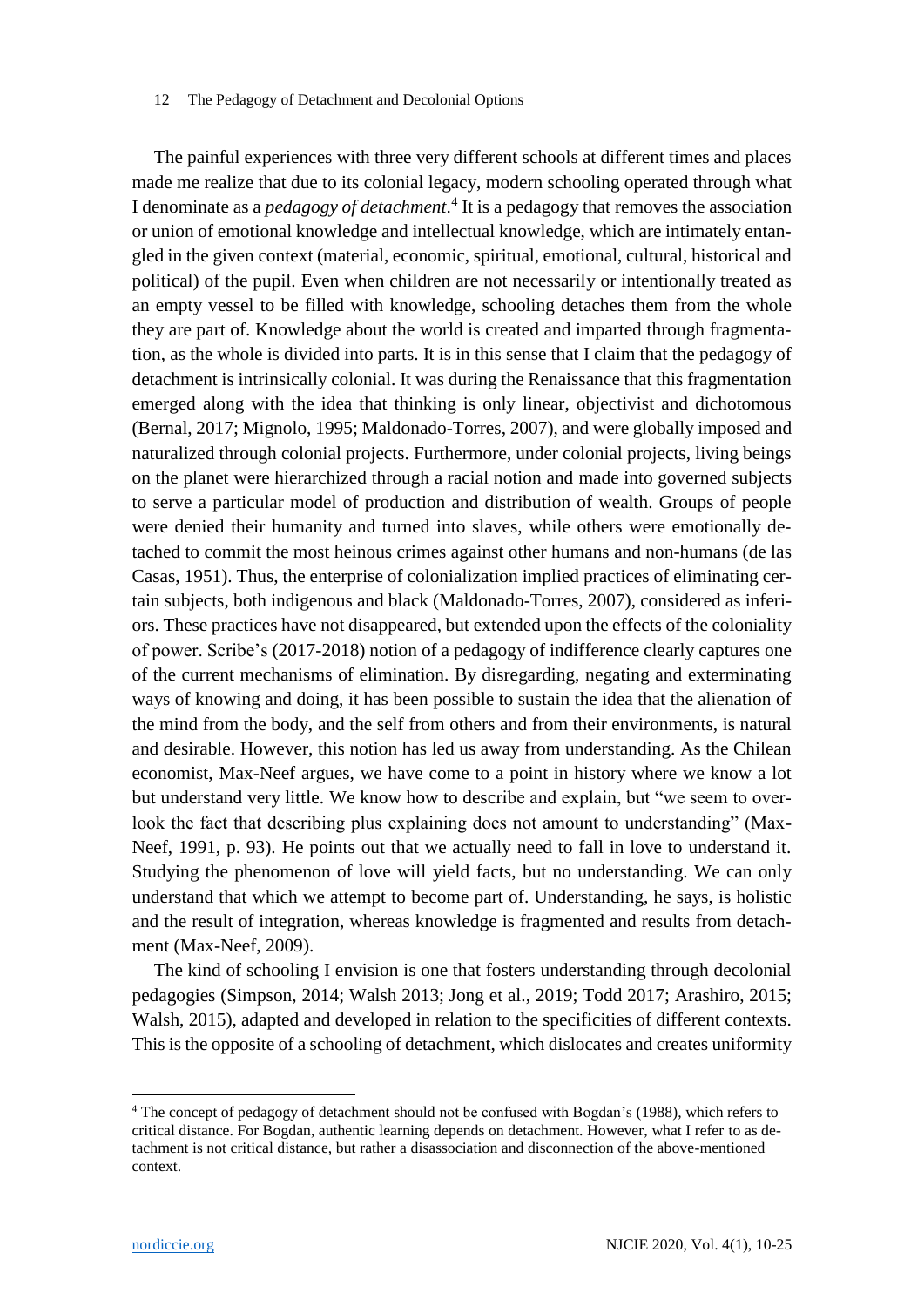The painful experiences with three very different schools at different times and places made me realize that due to its colonial legacy, modern schooling operated through what I denominate as a *pedagogy of detachment*. 4 It is a pedagogy that removes the association or union of emotional knowledge and intellectual knowledge, which are intimately entangled in the given context (material, economic, spiritual, emotional, cultural, historical and political) of the pupil. Even when children are not necessarily or intentionally treated as an empty vessel to be filled with knowledge, schooling detaches them from the whole they are part of. Knowledge about the world is created and imparted through fragmentation, as the whole is divided into parts. It is in this sense that I claim that the pedagogy of detachment is intrinsically colonial. It was during the Renaissance that this fragmentation emerged along with the idea that thinking is only linear, objectivist and dichotomous (Bernal, 2017; Mignolo, 1995; Maldonado-Torres, 2007), and were globally imposed and naturalized through colonial projects. Furthermore, under colonial projects, living beings on the planet were hierarchized through a racial notion and made into governed subjects to serve a particular model of production and distribution of wealth. Groups of people were denied their humanity and turned into slaves, while others were emotionally detached to commit the most heinous crimes against other humans and non-humans (de las Casas, 1951). Thus, the enterprise of colonialization implied practices of eliminating certain subjects, both indigenous and black (Maldonado-Torres, 2007), considered as inferiors. These practices have not disappeared, but extended upon the effects of the coloniality of power. Scribe's (2017-2018) notion of a pedagogy of indifference clearly captures one of the current mechanisms of elimination. By disregarding, negating and exterminating ways of knowing and doing, it has been possible to sustain the idea that the alienation of the mind from the body, and the self from others and from their environments, is natural and desirable. However, this notion has led us away from understanding. As the Chilean economist, Max-Neef argues, we have come to a point in history where we know a lot but understand very little. We know how to describe and explain, but "we seem to overlook the fact that describing plus explaining does not amount to understanding" (Max-Neef, 1991, p. 93). He points out that we actually need to fall in love to understand it. Studying the phenomenon of love will yield facts, but no understanding. We can only understand that which we attempt to become part of. Understanding, he says, is holistic and the result of integration, whereas knowledge is fragmented and results from detachment (Max-Neef, 2009).

The kind of schooling I envision is one that fosters understanding through decolonial pedagogies (Simpson, 2014; Walsh 2013; Jong et al., 2019; Todd 2017; Arashiro, 2015; Walsh, 2015), adapted and developed in relation to the specificities of different contexts. This is the opposite of a schooling of detachment, which dislocates and creates uniformity

1

<sup>4</sup> The concept of pedagogy of detachment should not be confused with Bogdan's (1988), which refers to critical distance. For Bogdan, authentic learning depends on detachment. However, what I refer to as detachment is not critical distance, but rather a disassociation and disconnection of the above-mentioned context.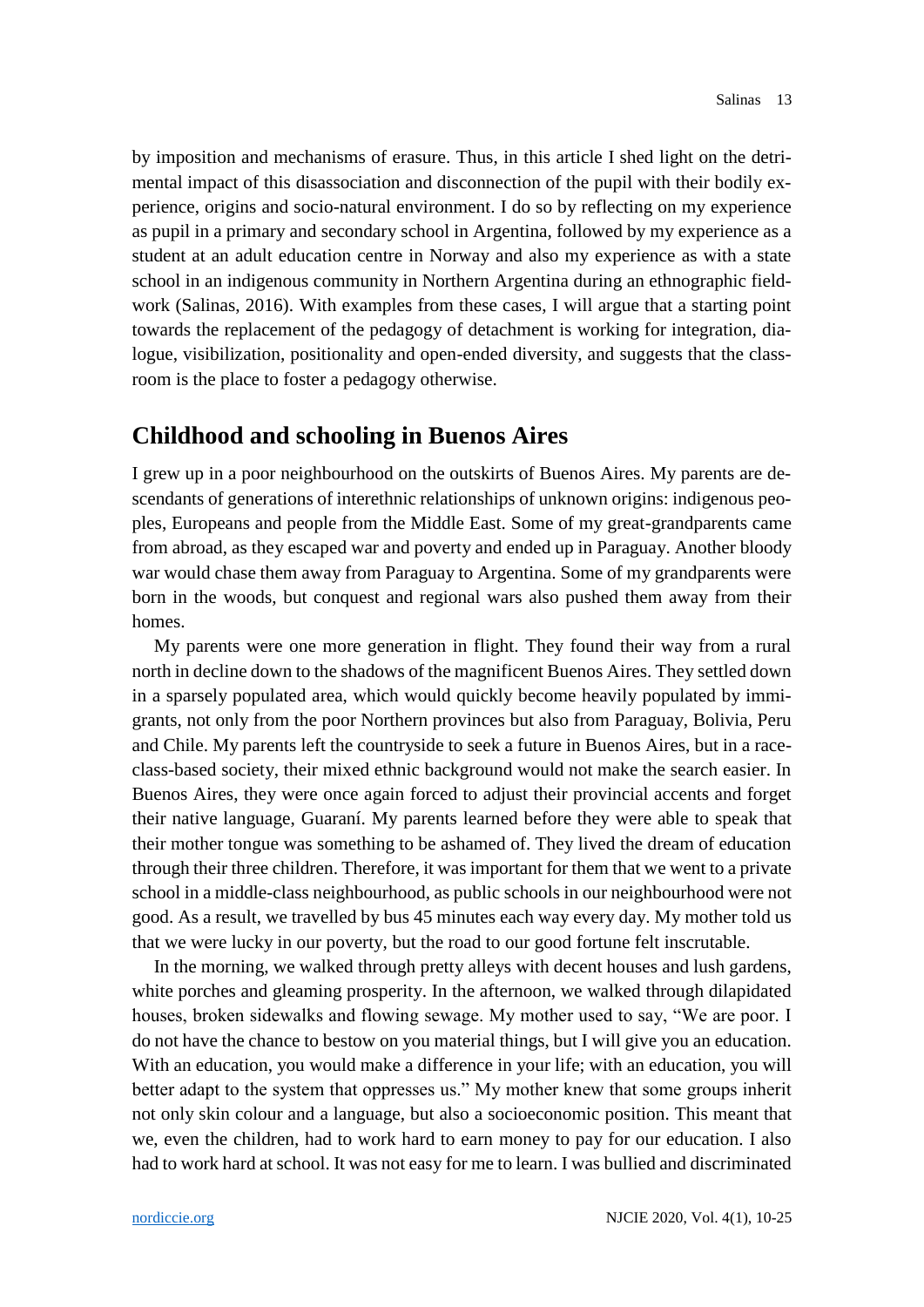by imposition and mechanisms of erasure. Thus, in this article I shed light on the detrimental impact of this disassociation and disconnection of the pupil with their bodily experience, origins and socio-natural environment. I do so by reflecting on my experience as pupil in a primary and secondary school in Argentina, followed by my experience as a student at an adult education centre in Norway and also my experience as with a state school in an indigenous community in Northern Argentina during an ethnographic fieldwork (Salinas, 2016). With examples from these cases, I will argue that a starting point towards the replacement of the pedagogy of detachment is working for integration, dialogue, visibilization, positionality and open-ended diversity, and suggests that the classroom is the place to foster a pedagogy otherwise.

## **Childhood and schooling in Buenos Aires**

I grew up in a poor neighbourhood on the outskirts of Buenos Aires. My parents are descendants of generations of interethnic relationships of unknown origins: indigenous peoples, Europeans and people from the Middle East. Some of my great-grandparents came from abroad, as they escaped war and poverty and ended up in Paraguay. Another bloody war would chase them away from Paraguay to Argentina. Some of my grandparents were born in the woods, but conquest and regional wars also pushed them away from their homes.

My parents were one more generation in flight. They found their way from a rural north in decline down to the shadows of the magnificent Buenos Aires. They settled down in a sparsely populated area, which would quickly become heavily populated by immigrants, not only from the poor Northern provinces but also from Paraguay, Bolivia, Peru and Chile. My parents left the countryside to seek a future in Buenos Aires, but in a raceclass-based society, their mixed ethnic background would not make the search easier. In Buenos Aires, they were once again forced to adjust their provincial accents and forget their native language, Guaraní. My parents learned before they were able to speak that their mother tongue was something to be ashamed of. They lived the dream of education through their three children. Therefore, it was important for them that we went to a private school in a middle-class neighbourhood, as public schools in our neighbourhood were not good. As a result, we travelled by bus 45 minutes each way every day. My mother told us that we were lucky in our poverty, but the road to our good fortune felt inscrutable.

In the morning, we walked through pretty alleys with decent houses and lush gardens, white porches and gleaming prosperity. In the afternoon, we walked through dilapidated houses, broken sidewalks and flowing sewage. My mother used to say, "We are poor. I do not have the chance to bestow on you material things, but I will give you an education. With an education, you would make a difference in your life; with an education, you will better adapt to the system that oppresses us." My mother knew that some groups inherit not only skin colour and a language, but also a socioeconomic position. This meant that we, even the children, had to work hard to earn money to pay for our education. I also had to work hard at school. It was not easy for me to learn. I was bullied and discriminated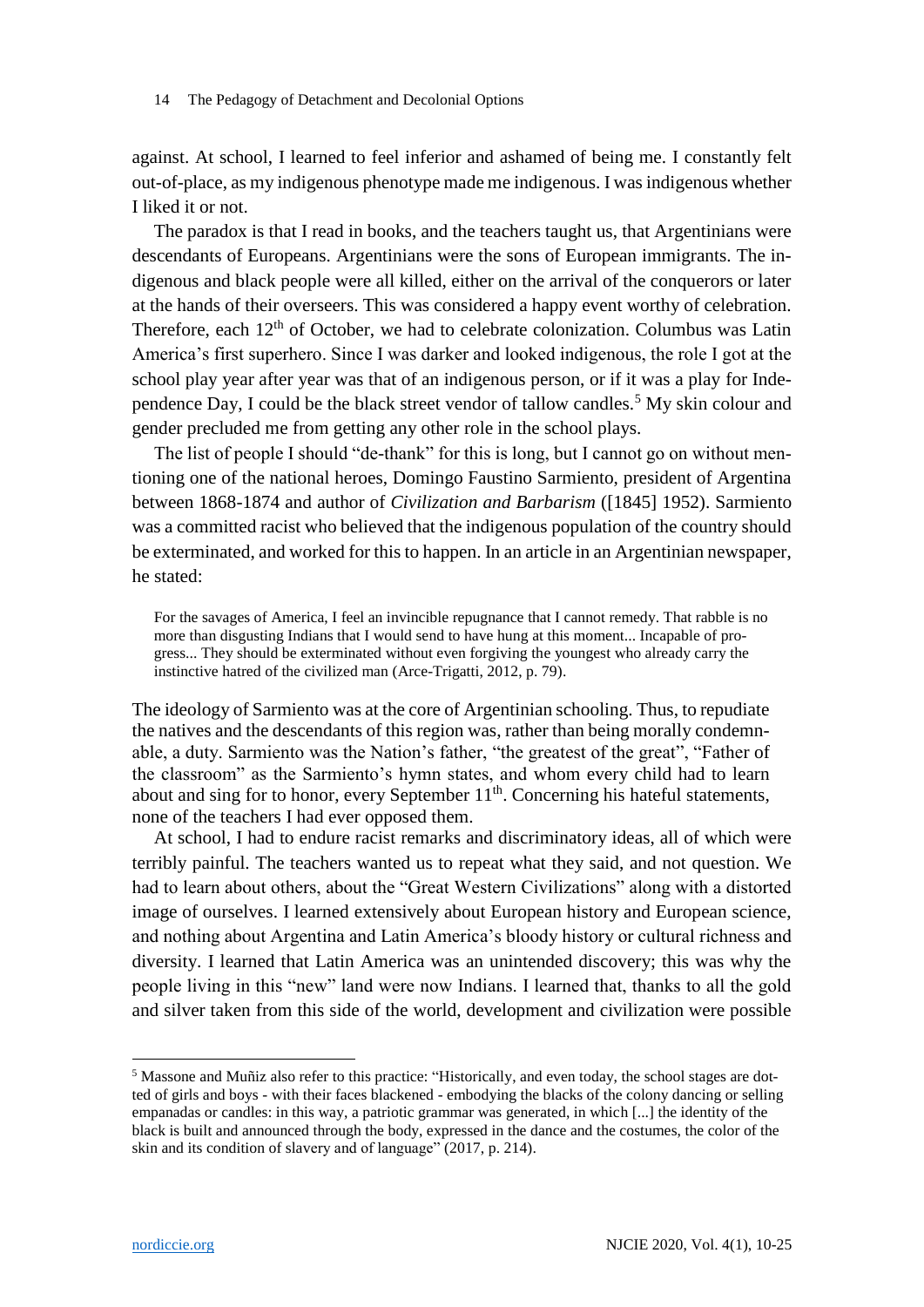against. At school, I learned to feel inferior and ashamed of being me. I constantly felt out-of-place, as my indigenous phenotype made me indigenous. I was indigenous whether I liked it or not.

The paradox is that I read in books, and the teachers taught us, that Argentinians were descendants of Europeans. Argentinians were the sons of European immigrants. The indigenous and black people were all killed, either on the arrival of the conquerors or later at the hands of their overseers. This was considered a happy event worthy of celebration. Therefore, each  $12<sup>th</sup>$  of October, we had to celebrate colonization. Columbus was Latin America's first superhero. Since I was darker and looked indigenous, the role I got at the school play year after year was that of an indigenous person, or if it was a play for Independence Day, I could be the black street vendor of tallow candles.<sup>5</sup> My skin colour and gender precluded me from getting any other role in the school plays.

The list of people I should "de-thank" for this is long, but I cannot go on without mentioning one of the national heroes, Domingo Faustino Sarmiento, president of Argentina between 1868-1874 and author of *Civilization and Barbarism* ([1845] 1952). Sarmiento was a committed racist who believed that the indigenous population of the country should be exterminated, and worked for this to happen. In an article in an Argentinian newspaper, he stated:

For the savages of America, I feel an invincible repugnance that I cannot remedy. That rabble is no more than disgusting Indians that I would send to have hung at this moment... Incapable of progress... They should be exterminated without even forgiving the youngest who already carry the instinctive hatred of the civilized man (Arce-Trigatti, 2012, p. 79).

The ideology of Sarmiento was at the core of Argentinian schooling. Thus, to repudiate the natives and the descendants of this region was, rather than being morally condemnable, a duty. Sarmiento was the Nation's father, "the greatest of the great", "Father of the classroom" as the Sarmiento's hymn states, and whom every child had to learn about and sing for to honor, every September  $11<sup>th</sup>$ . Concerning his hateful statements, none of the teachers I had ever opposed them.

At school, I had to endure racist remarks and discriminatory ideas, all of which were terribly painful. The teachers wanted us to repeat what they said, and not question. We had to learn about others, about the "Great Western Civilizations" along with a distorted image of ourselves. I learned extensively about European history and European science, and nothing about Argentina and Latin America's bloody history or cultural richness and diversity. I learned that Latin America was an unintended discovery; this was why the people living in this "new" land were now Indians. I learned that, thanks to all the gold and silver taken from this side of the world, development and civilization were possible

<u>.</u>

<sup>5</sup> Massone and Muñiz also refer to this practice: "Historically, and even today, the school stages are dotted of girls and boys - with their faces blackened - embodying the blacks of the colony dancing or selling empanadas or candles: in this way, a patriotic grammar was generated, in which [...] the identity of the black is built and announced through the body, expressed in the dance and the costumes, the color of the skin and its condition of slavery and of language" (2017, p. 214).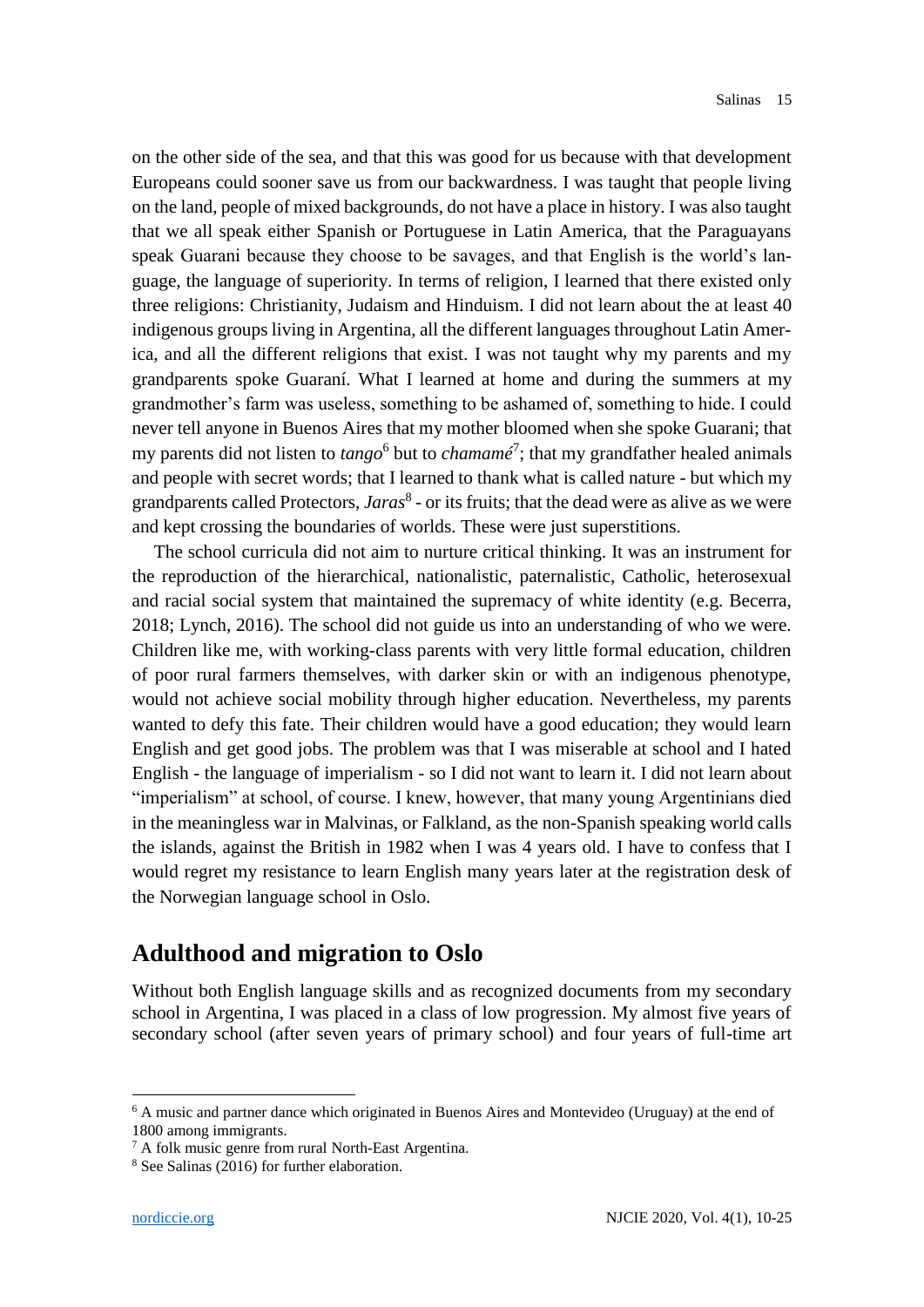on the other side of the sea, and that this was good for us because with that development Europeans could sooner save us from our backwardness. I was taught that people living on the land, people of mixed backgrounds, do not have a place in history. I was also taught that we all speak either Spanish or Portuguese in Latin America, that the Paraguayans speak Guarani because they choose to be savages, and that English is the world's language, the language of superiority. In terms of religion, I learned that there existed only three religions: Christianity, Judaism and Hinduism. I did not learn about the at least 40 indigenous groups living in Argentina, all the different languages throughout Latin America, and all the different religions that exist. I was not taught why my parents and my grandparents spoke Guaraní. What I learned at home and during the summers at my grandmother's farm was useless, something to be ashamed of, something to hide. I could never tell anyone in Buenos Aires that my mother bloomed when she spoke Guarani; that my parents did not listen to *tango*<sup>6</sup> but to *chamamé*<sup>7</sup>; that my grandfather healed animals and people with secret words; that I learned to thank what is called nature - but which my grandparents called Protectors, *Jaras*<sup>8</sup> - or its fruits; that the dead were as alive as we were and kept crossing the boundaries of worlds. These were just superstitions.

The school curricula did not aim to nurture critical thinking. It was an instrument for the reproduction of the hierarchical, nationalistic, paternalistic, Catholic, heterosexual and racial social system that maintained the supremacy of white identity (e.g. Becerra, 2018; Lynch, 2016). The school did not guide us into an understanding of who we were. Children like me, with working-class parents with very little formal education, children of poor rural farmers themselves, with darker skin or with an indigenous phenotype, would not achieve social mobility through higher education. Nevertheless, my parents wanted to defy this fate. Their children would have a good education; they would learn English and get good jobs. The problem was that I was miserable at school and I hated English - the language of imperialism - so I did not want to learn it. I did not learn about "imperialism" at school, of course. I knew, however, that many young Argentinians died in the meaningless war in Malvinas, or Falkland, as the non-Spanish speaking world calls the islands, against the British in 1982 when I was 4 years old. I have to confess that I would regret my resistance to learn English many years later at the registration desk of the Norwegian language school in Oslo.

### **Adulthood and migration to Oslo**

Without both English language skills and as recognized documents from my secondary school in Argentina, I was placed in a class of low progression. My almost five years of secondary school (after seven years of primary school) and four years of full-time art

1

<sup>&</sup>lt;sup>6</sup> A music and partner dance which originated in Buenos Aires and Montevideo (Uruguay) at the end of 1800 among immigrants.

<sup>7</sup> A folk music genre from rural North-East Argentina.

<sup>8</sup> See Salinas (2016) for further elaboration.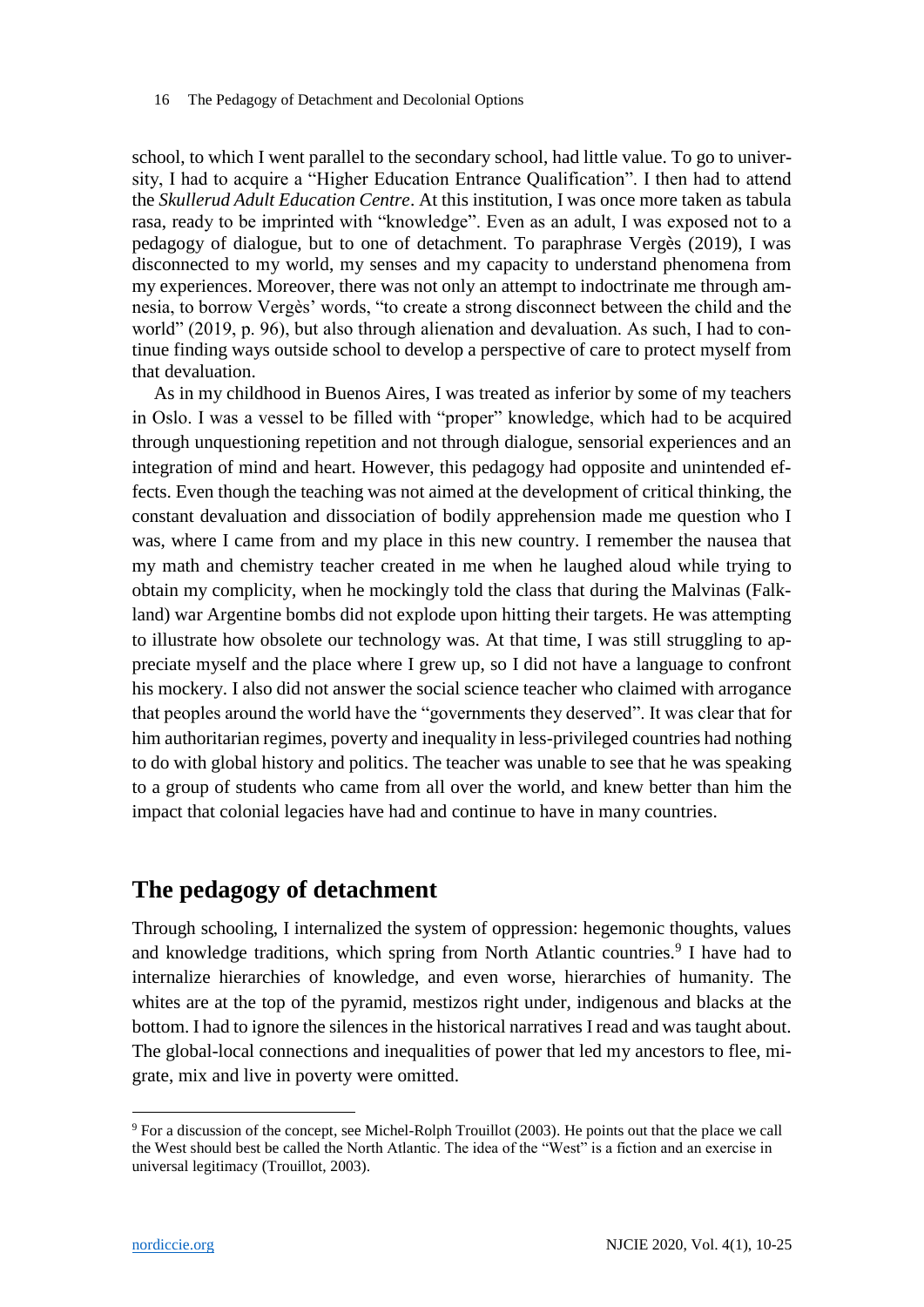school, to which I went parallel to the secondary school, had little value. To go to university, I had to acquire a "Higher Education Entrance Qualification". I then had to attend the *Skullerud Adult Education Centre*. At this institution, I was once more taken as tabula rasa, ready to be imprinted with "knowledge". Even as an adult, I was exposed not to a pedagogy of dialogue, but to one of detachment. To paraphrase Vergès (2019), I was disconnected to my world, my senses and my capacity to understand phenomena from my experiences. Moreover, there was not only an attempt to indoctrinate me through amnesia, to borrow Vergès' words, "to create a strong disconnect between the child and the world" (2019, p. 96), but also through alienation and devaluation. As such, I had to continue finding ways outside school to develop a perspective of care to protect myself from that devaluation.

As in my childhood in Buenos Aires, I was treated as inferior by some of my teachers in Oslo. I was a vessel to be filled with "proper" knowledge, which had to be acquired through unquestioning repetition and not through dialogue, sensorial experiences and an integration of mind and heart. However, this pedagogy had opposite and unintended effects. Even though the teaching was not aimed at the development of critical thinking, the constant devaluation and dissociation of bodily apprehension made me question who I was, where I came from and my place in this new country. I remember the nausea that my math and chemistry teacher created in me when he laughed aloud while trying to obtain my complicity, when he mockingly told the class that during the Malvinas (Falkland) war Argentine bombs did not explode upon hitting their targets. He was attempting to illustrate how obsolete our technology was. At that time, I was still struggling to appreciate myself and the place where I grew up, so I did not have a language to confront his mockery. I also did not answer the social science teacher who claimed with arrogance that peoples around the world have the "governments they deserved". It was clear that for him authoritarian regimes, poverty and inequality in less-privileged countries had nothing to do with global history and politics. The teacher was unable to see that he was speaking to a group of students who came from all over the world, and knew better than him the impact that colonial legacies have had and continue to have in many countries.

#### **The pedagogy of detachment**

Through schooling, I internalized the system of oppression: hegemonic thoughts, values and knowledge traditions, which spring from North Atlantic countries.<sup>9</sup> I have had to internalize hierarchies of knowledge, and even worse, hierarchies of humanity. The whites are at the top of the pyramid, mestizos right under, indigenous and blacks at the bottom. I had to ignore the silences in the historical narratives I read and was taught about. The global-local connections and inequalities of power that led my ancestors to flee, migrate, mix and live in poverty were omitted.

<u>.</u>

<sup>9</sup> For a discussion of the concept, see Michel-Rolph Trouillot (2003). He points out that the place we call the West should best be called the North Atlantic. The idea of the "West" is a fiction and an exercise in universal legitimacy (Trouillot, 2003).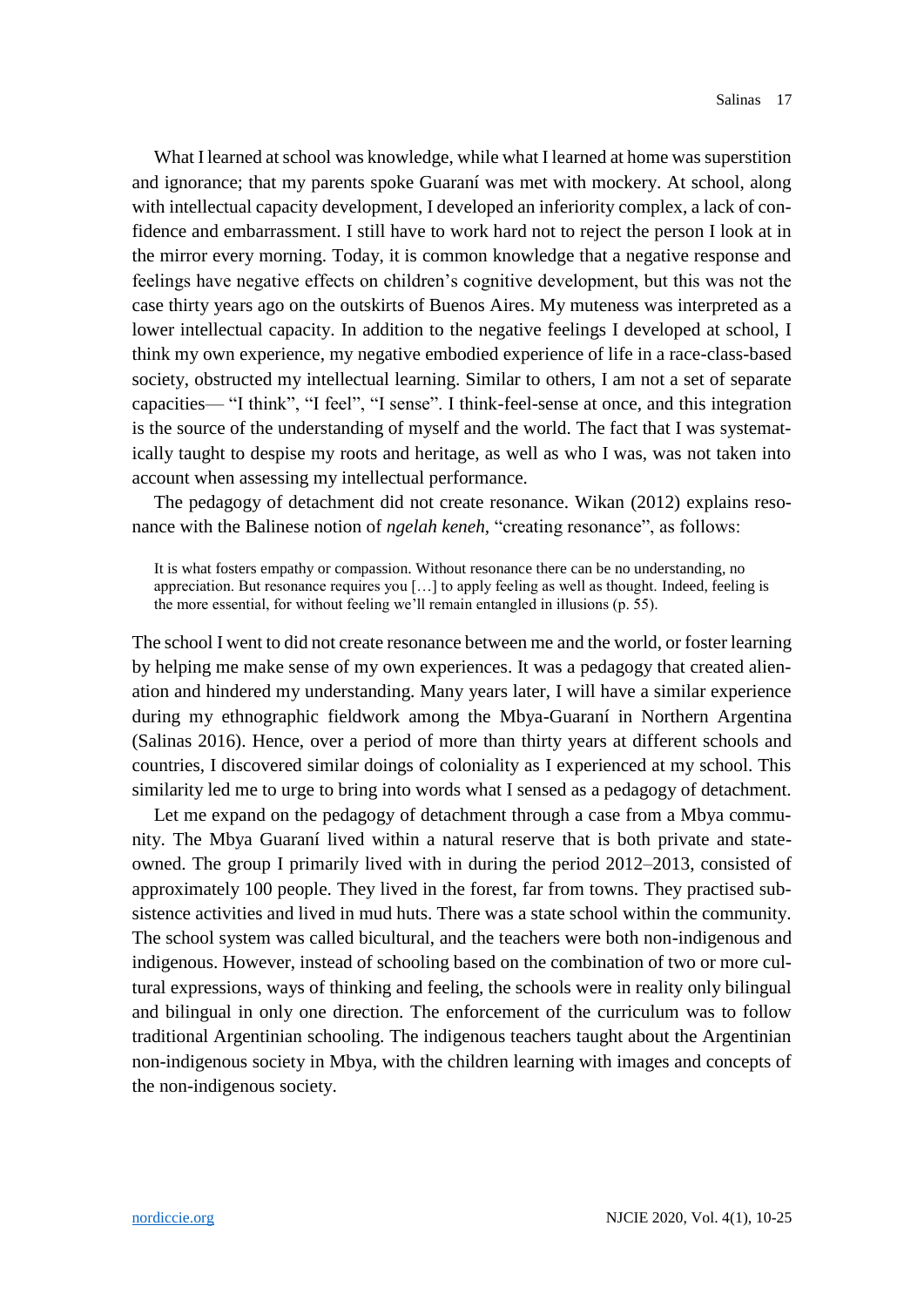What I learned at school was knowledge, while what I learned at home was superstition and ignorance; that my parents spoke Guaraní was met with mockery. At school, along with intellectual capacity development, I developed an inferiority complex, a lack of confidence and embarrassment. I still have to work hard not to reject the person I look at in the mirror every morning. Today, it is common knowledge that a negative response and feelings have negative effects on children's cognitive development, but this was not the case thirty years ago on the outskirts of Buenos Aires. My muteness was interpreted as a lower intellectual capacity. In addition to the negative feelings I developed at school, I think my own experience, my negative embodied experience of life in a race-class-based society, obstructed my intellectual learning. Similar to others, I am not a set of separate capacities— "I think", "I feel", "I sense". I think-feel-sense at once, and this integration is the source of the understanding of myself and the world. The fact that I was systematically taught to despise my roots and heritage, as well as who I was, was not taken into account when assessing my intellectual performance.

The pedagogy of detachment did not create resonance. Wikan (2012) explains resonance with the Balinese notion of *ngelah keneh,* "creating resonance", as follows:

It is what fosters empathy or compassion. Without resonance there can be no understanding, no appreciation. But resonance requires you […] to apply feeling as well as thought. Indeed, feeling is the more essential, for without feeling we'll remain entangled in illusions (p. 55).

The school I went to did not create resonance between me and the world, or foster learning by helping me make sense of my own experiences. It was a pedagogy that created alienation and hindered my understanding. Many years later, I will have a similar experience during my ethnographic fieldwork among the Mbya-Guaraní in Northern Argentina (Salinas 2016). Hence, over a period of more than thirty years at different schools and countries, I discovered similar doings of coloniality as I experienced at my school. This similarity led me to urge to bring into words what I sensed as a pedagogy of detachment.

Let me expand on the pedagogy of detachment through a case from a Mbya community. The Mbya Guaraní lived within a natural reserve that is both private and stateowned. The group I primarily lived with in during the period 2012–2013, consisted of approximately 100 people. They lived in the forest, far from towns. They practised subsistence activities and lived in mud huts. There was a state school within the community. The school system was called bicultural, and the teachers were both non-indigenous and indigenous. However, instead of schooling based on the combination of two or more cultural expressions, ways of thinking and feeling, the schools were in reality only bilingual and bilingual in only one direction. The enforcement of the curriculum was to follow traditional Argentinian schooling. The indigenous teachers taught about the Argentinian non-indigenous society in Mbya, with the children learning with images and concepts of the non-indigenous society.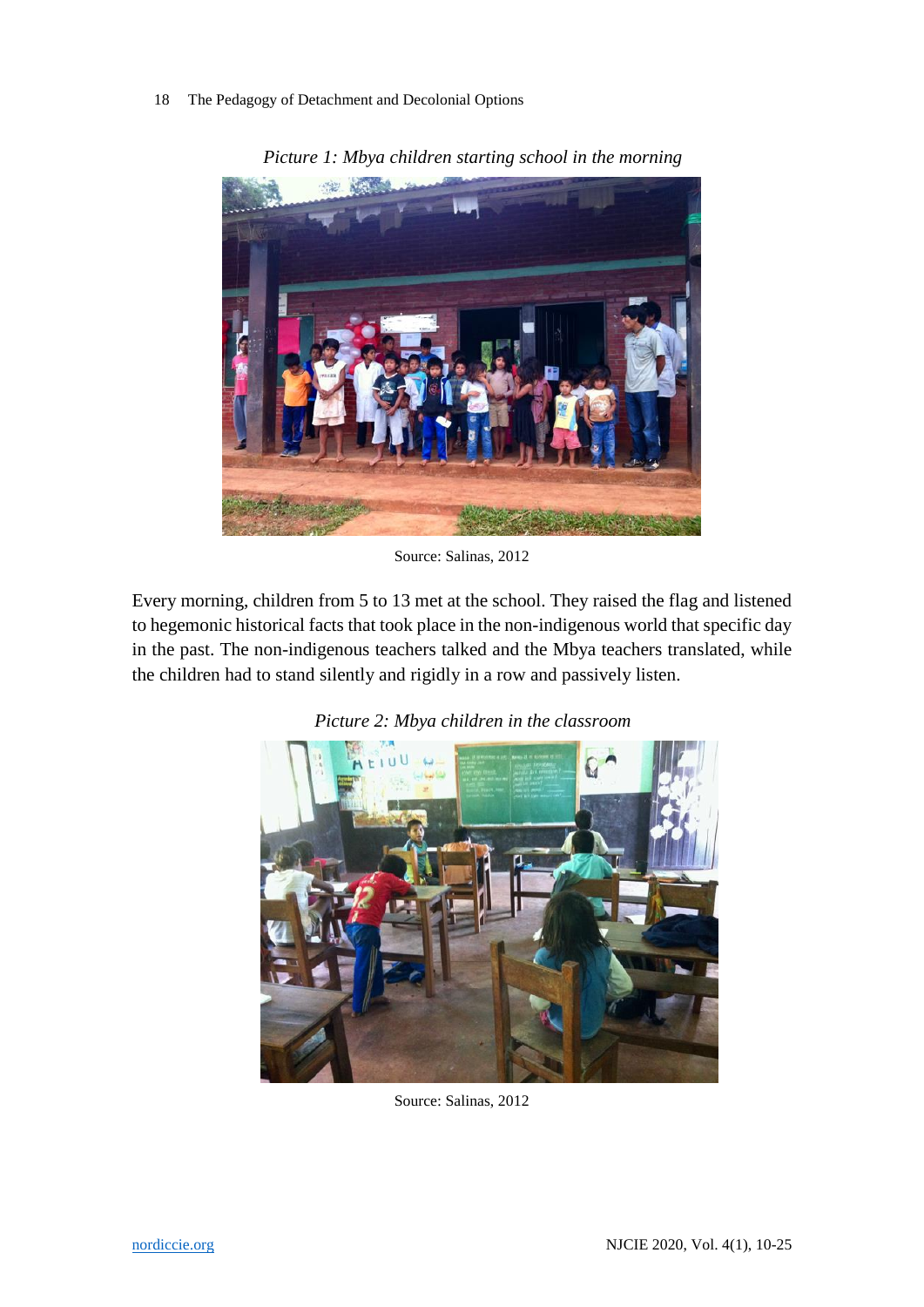

*Picture 1: Mbya children starting school in the morning*

Source: Salinas, 2012

Every morning, children from 5 to 13 met at the school. They raised the flag and listened to hegemonic historical facts that took place in the non-indigenous world that specific day in the past. The non-indigenous teachers talked and the Mbya teachers translated, while the children had to stand silently and rigidly in a row and passively listen.



*Picture 2: Mbya children in the classroom*

Source: Salinas, 2012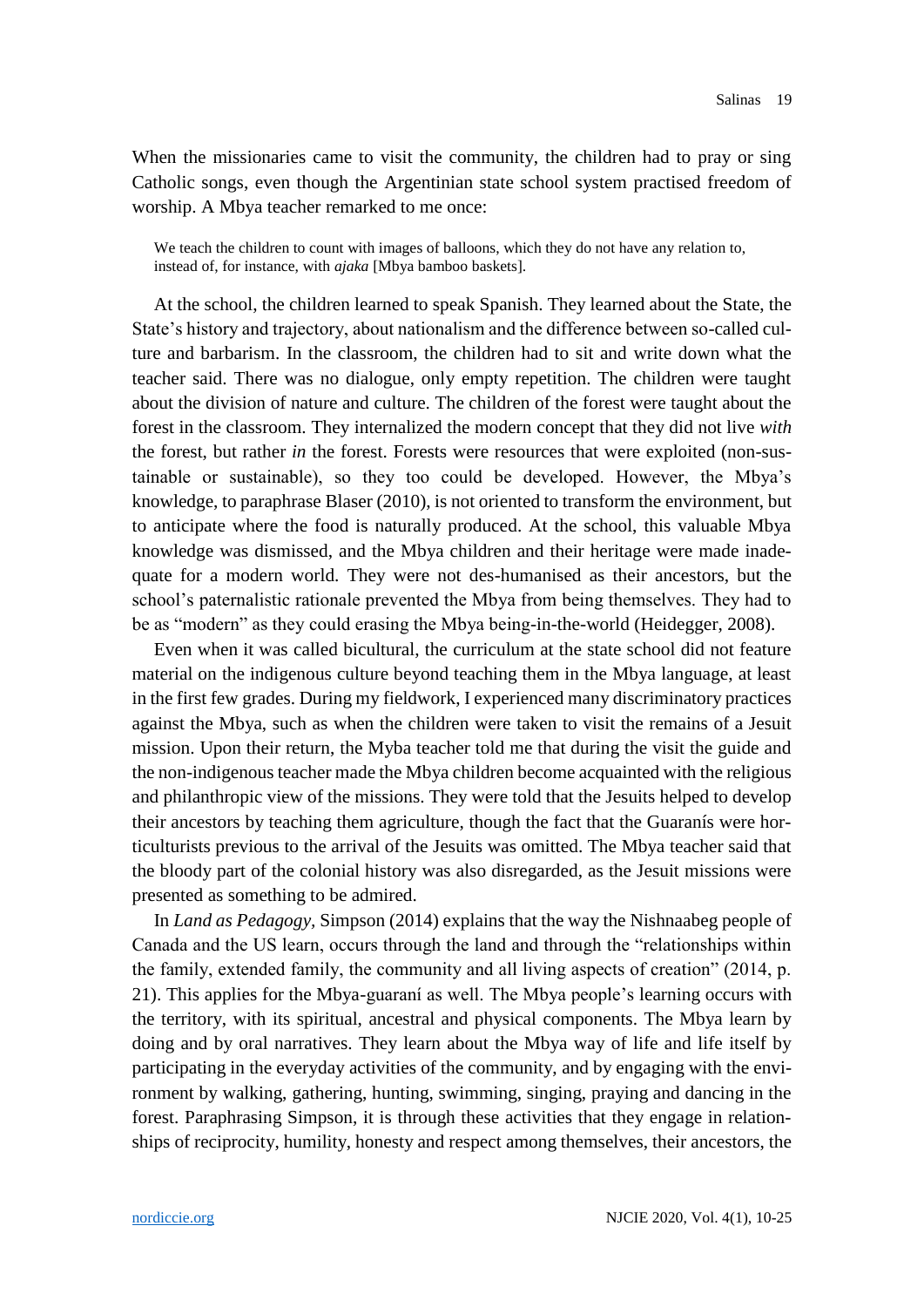When the missionaries came to visit the community, the children had to pray or sing Catholic songs, even though the Argentinian state school system practised freedom of worship. A Mbya teacher remarked to me once:

We teach the children to count with images of balloons, which they do not have any relation to, instead of, for instance, with *ajaka* [Mbya bamboo baskets].

At the school, the children learned to speak Spanish. They learned about the State, the State's history and trajectory, about nationalism and the difference between so-called culture and barbarism. In the classroom, the children had to sit and write down what the teacher said. There was no dialogue, only empty repetition. The children were taught about the division of nature and culture. The children of the forest were taught about the forest in the classroom. They internalized the modern concept that they did not live *with* the forest, but rather *in* the forest. Forests were resources that were exploited (non-sustainable or sustainable), so they too could be developed. However, the Mbya's knowledge, to paraphrase Blaser (2010), is not oriented to transform the environment, but to anticipate where the food is naturally produced. At the school, this valuable Mbya knowledge was dismissed, and the Mbya children and their heritage were made inadequate for a modern world. They were not des-humanised as their ancestors, but the school's paternalistic rationale prevented the Mbya from being themselves. They had to be as "modern" as they could erasing the Mbya being-in-the-world (Heidegger, 2008).

Even when it was called bicultural, the curriculum at the state school did not feature material on the indigenous culture beyond teaching them in the Mbya language, at least in the first few grades. During my fieldwork, I experienced many discriminatory practices against the Mbya, such as when the children were taken to visit the remains of a Jesuit mission. Upon their return, the Myba teacher told me that during the visit the guide and the non-indigenous teacher made the Mbya children become acquainted with the religious and philanthropic view of the missions. They were told that the Jesuits helped to develop their ancestors by teaching them agriculture, though the fact that the Guaranís were horticulturists previous to the arrival of the Jesuits was omitted. The Mbya teacher said that the bloody part of the colonial history was also disregarded, as the Jesuit missions were presented as something to be admired.

In *Land as Pedagogy,* Simpson (2014) explains that the way the Nishnaabeg people of Canada and the US learn, occurs through the land and through the "relationships within the family, extended family, the community and all living aspects of creation" (2014, p. 21). This applies for the Mbya-guaraní as well. The Mbya people's learning occurs with the territory, with its spiritual, ancestral and physical components. The Mbya learn by doing and by oral narratives. They learn about the Mbya way of life and life itself by participating in the everyday activities of the community, and by engaging with the environment by walking, gathering, hunting, swimming, singing, praying and dancing in the forest. Paraphrasing Simpson, it is through these activities that they engage in relationships of reciprocity, humility, honesty and respect among themselves, their ancestors, the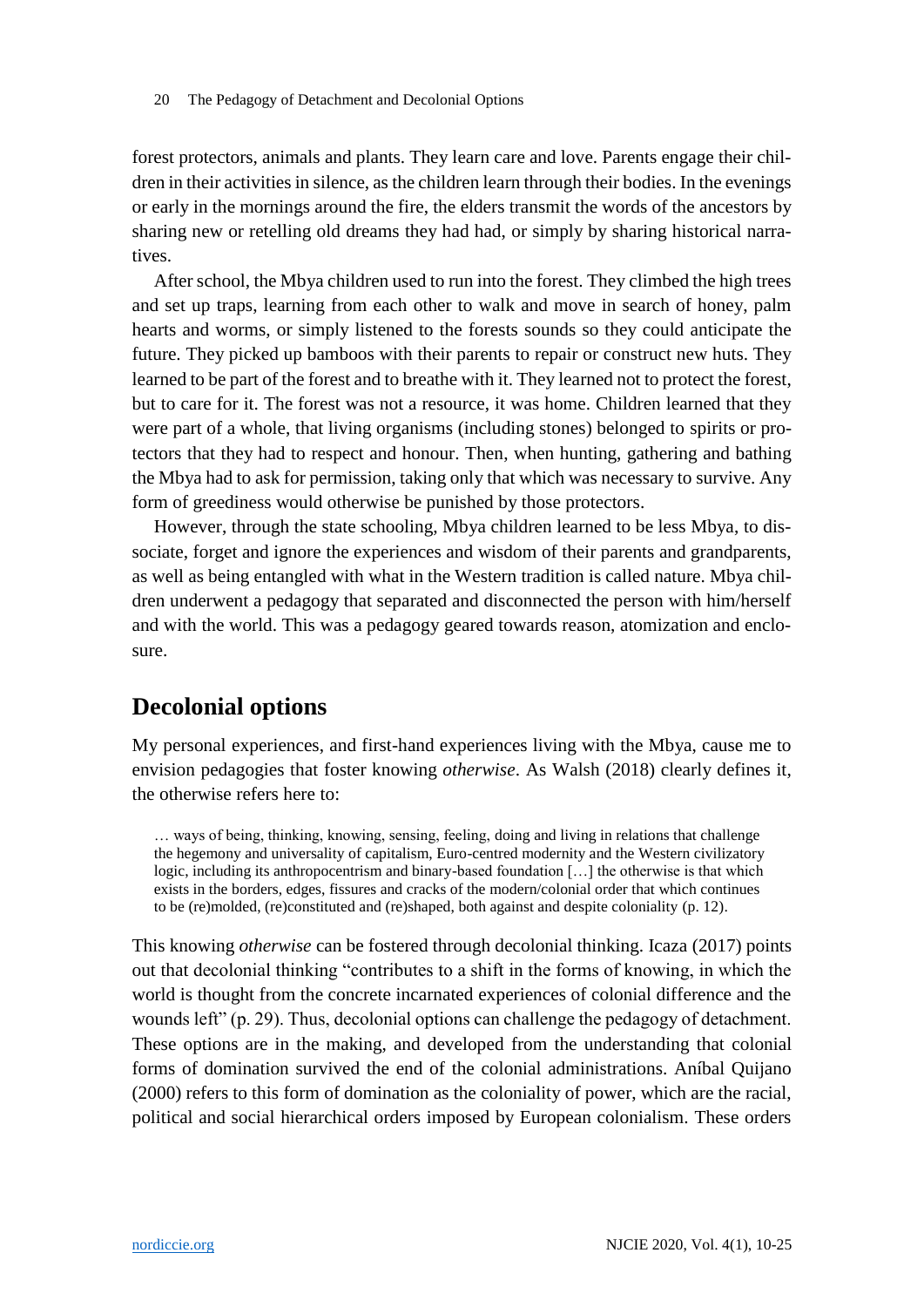forest protectors, animals and plants. They learn care and love. Parents engage their children in their activities in silence, as the children learn through their bodies. In the evenings or early in the mornings around the fire, the elders transmit the words of the ancestors by sharing new or retelling old dreams they had had, or simply by sharing historical narratives.

After school, the Mbya children used to run into the forest. They climbed the high trees and set up traps, learning from each other to walk and move in search of honey, palm hearts and worms, or simply listened to the forests sounds so they could anticipate the future. They picked up bamboos with their parents to repair or construct new huts. They learned to be part of the forest and to breathe with it. They learned not to protect the forest, but to care for it. The forest was not a resource, it was home. Children learned that they were part of a whole, that living organisms (including stones) belonged to spirits or protectors that they had to respect and honour. Then, when hunting, gathering and bathing the Mbya had to ask for permission, taking only that which was necessary to survive. Any form of greediness would otherwise be punished by those protectors.

However, through the state schooling, Mbya children learned to be less Mbya, to dissociate, forget and ignore the experiences and wisdom of their parents and grandparents, as well as being entangled with what in the Western tradition is called nature. Mbya children underwent a pedagogy that separated and disconnected the person with him/herself and with the world. This was a pedagogy geared towards reason, atomization and enclosure.

## **Decolonial options**

My personal experiences, and first-hand experiences living with the Mbya, cause me to envision pedagogies that foster knowing *otherwise*. As Walsh (2018) clearly defines it, the otherwise refers here to:

… ways of being, thinking, knowing, sensing, feeling, doing and living in relations that challenge the hegemony and universality of capitalism, Euro-centred modernity and the Western civilizatory logic, including its anthropocentrism and binary-based foundation […] the otherwise is that which exists in the borders, edges, fissures and cracks of the modern/colonial order that which continues to be (re)molded, (re)constituted and (re)shaped, both against and despite coloniality (p. 12).

This knowing *otherwise* can be fostered through decolonial thinking. Icaza (2017) points out that decolonial thinking "contributes to a shift in the forms of knowing, in which the world is thought from the concrete incarnated experiences of colonial difference and the wounds left" (p. 29). Thus, decolonial options can challenge the pedagogy of detachment. These options are in the making, and developed from the understanding that colonial forms of domination survived the end of the colonial administrations. Aníbal Quijano (2000) refers to this form of domination as the coloniality of power, which are the racial, political and social hierarchical orders imposed by European colonialism. These orders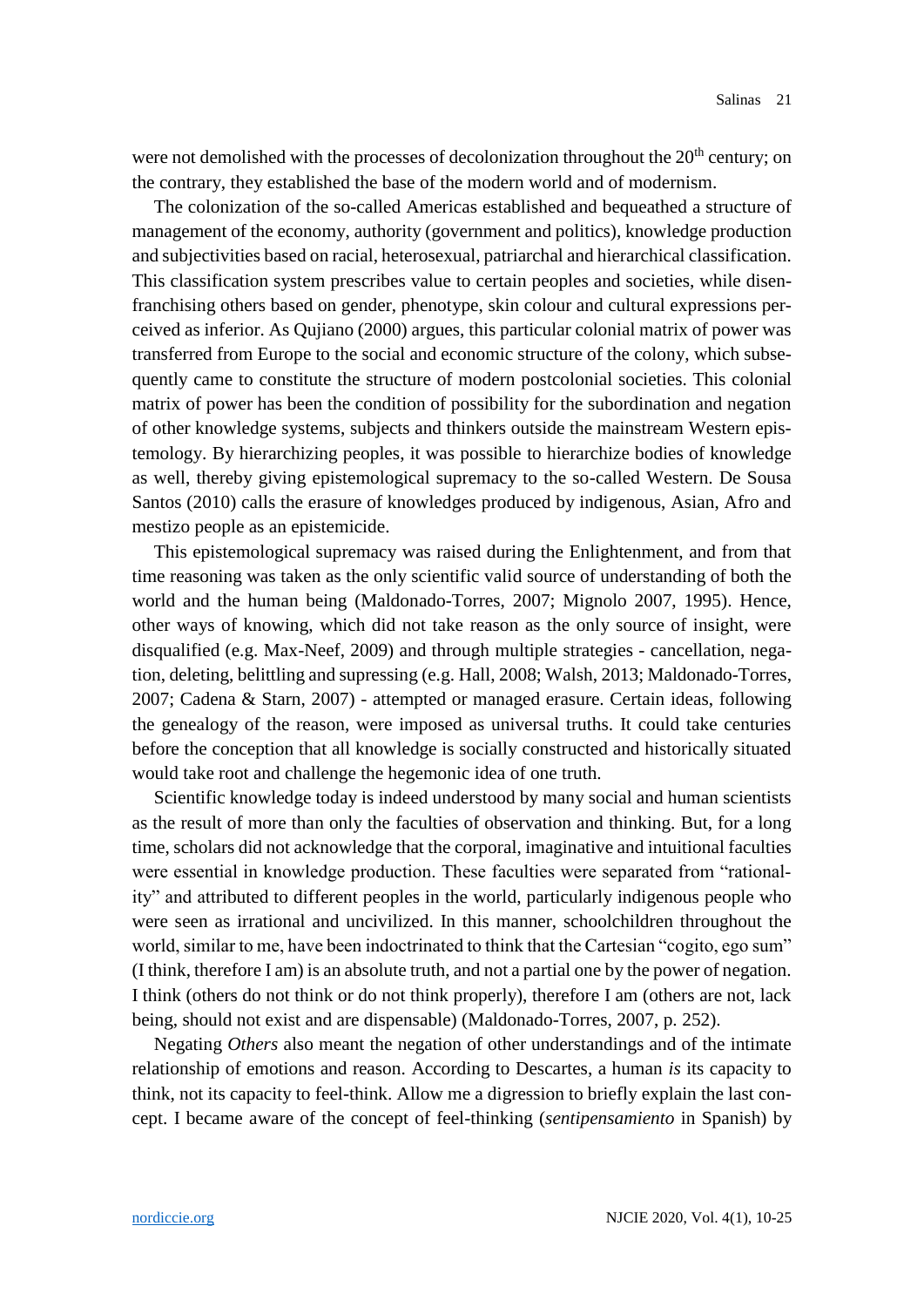were not demolished with the processes of decolonization throughout the  $20<sup>th</sup>$  century; on the contrary, they established the base of the modern world and of modernism.

The colonization of the so-called Americas established and bequeathed a structure of management of the economy, authority (government and politics), knowledge production and subjectivities based on racial, heterosexual, patriarchal and hierarchical classification. This classification system prescribes value to certain peoples and societies, while disenfranchising others based on gender, phenotype, skin colour and cultural expressions perceived as inferior. As Qujiano (2000) argues, this particular colonial matrix of power was transferred from Europe to the social and economic structure of the colony, which subsequently came to constitute the structure of modern postcolonial societies. This colonial matrix of power has been the condition of possibility for the subordination and negation of other knowledge systems, subjects and thinkers outside the mainstream Western epistemology. By hierarchizing peoples, it was possible to hierarchize bodies of knowledge as well, thereby giving epistemological supremacy to the so-called Western. De Sousa Santos (2010) calls the erasure of knowledges produced by indigenous, Asian, Afro and mestizo people as an epistemicide.

This epistemological supremacy was raised during the Enlightenment, and from that time reasoning was taken as the only scientific valid source of understanding of both the world and the human being (Maldonado-Torres, 2007; Mignolo 2007, 1995). Hence, other ways of knowing, which did not take reason as the only source of insight, were disqualified (e.g. Max-Neef, 2009) and through multiple strategies - cancellation, negation, deleting, belittling and supressing (e.g. Hall, 2008; Walsh, 2013; Maldonado-Torres, 2007; Cadena & Starn, 2007) - attempted or managed erasure. Certain ideas, following the genealogy of the reason, were imposed as universal truths. It could take centuries before the conception that all knowledge is socially constructed and historically situated would take root and challenge the hegemonic idea of one truth.

Scientific knowledge today is indeed understood by many social and human scientists as the result of more than only the faculties of observation and thinking. But, for a long time, scholars did not acknowledge that the corporal, imaginative and intuitional faculties were essential in knowledge production. These faculties were separated from "rationality" and attributed to different peoples in the world, particularly indigenous people who were seen as irrational and uncivilized. In this manner, schoolchildren throughout the world, similar to me, have been indoctrinated to think that the Cartesian "cogito, ego sum" (I think, therefore I am) is an absolute truth, and not a partial one by the power of negation. I think (others do not think or do not think properly), therefore I am (others are not, lack being, should not exist and are dispensable) (Maldonado-Torres, 2007, p. 252).

Negating *Others* also meant the negation of other understandings and of the intimate relationship of emotions and reason. According to Descartes, a human *is* its capacity to think, not its capacity to feel-think. Allow me a digression to briefly explain the last concept. I became aware of the concept of feel-thinking (*sentipensamiento* in Spanish) by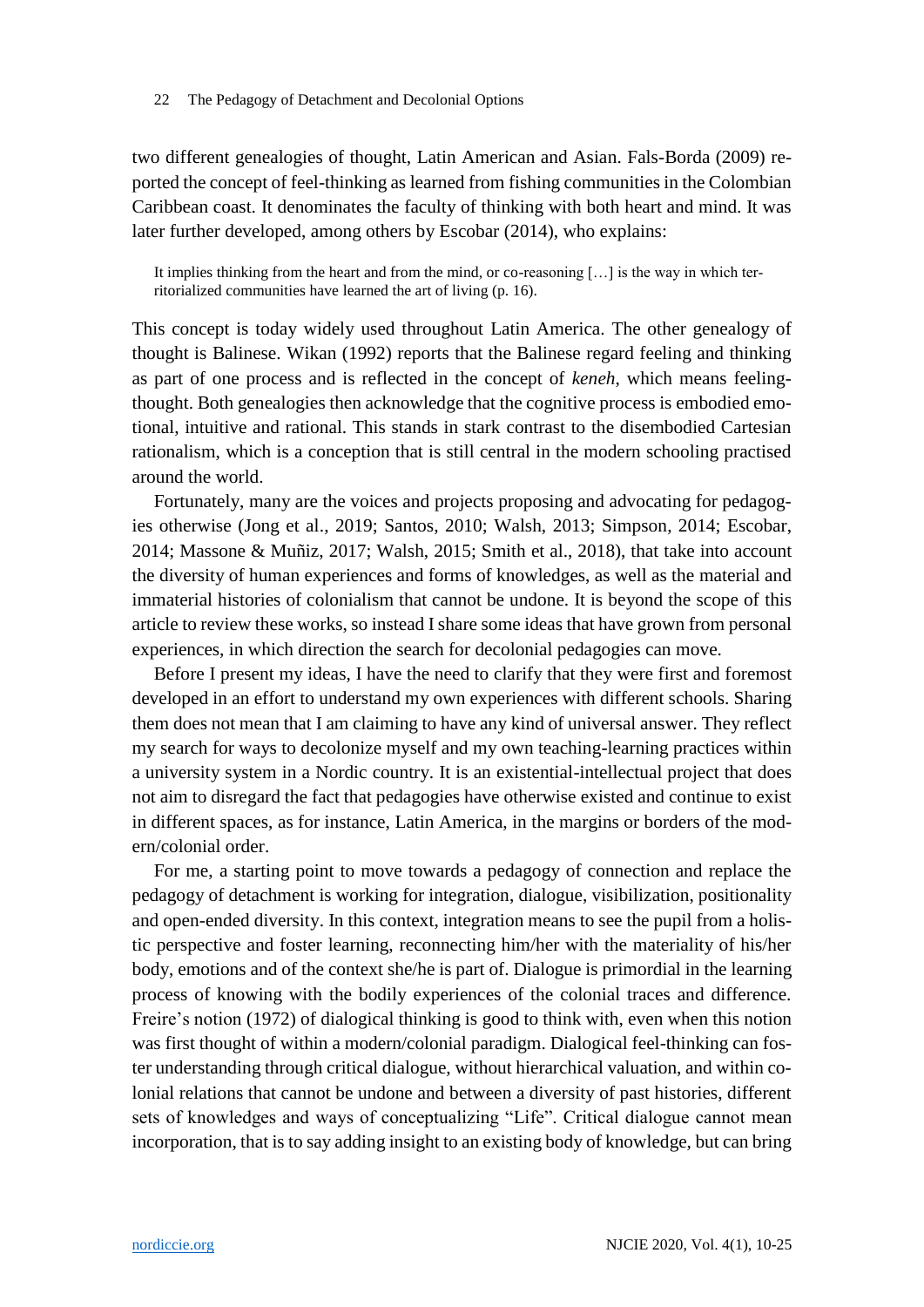two different genealogies of thought, Latin American and Asian. Fals-Borda (2009) reported the concept of feel-thinking as learned from fishing communities in the Colombian Caribbean coast. It denominates the faculty of thinking with both heart and mind. It was later further developed, among others by Escobar (2014), who explains:

It implies thinking from the heart and from the mind, or co-reasoning […] is the way in which territorialized communities have learned the art of living (p. 16).

This concept is today widely used throughout Latin America. The other genealogy of thought is Balinese. Wikan (1992) reports that the Balinese regard feeling and thinking as part of one process and is reflected in the concept of *keneh*, which means feelingthought. Both genealogies then acknowledge that the cognitive process is embodied emotional, intuitive and rational. This stands in stark contrast to the disembodied Cartesian rationalism, which is a conception that is still central in the modern schooling practised around the world.

Fortunately, many are the voices and projects proposing and advocating for pedagogies otherwise (Jong et al., 2019; Santos, 2010; Walsh, 2013; Simpson, 2014; Escobar, 2014; Massone & Muñiz, 2017; Walsh, 2015; Smith et al., 2018), that take into account the diversity of human experiences and forms of knowledges, as well as the material and immaterial histories of colonialism that cannot be undone. It is beyond the scope of this article to review these works, so instead I share some ideas that have grown from personal experiences, in which direction the search for decolonial pedagogies can move.

Before I present my ideas, I have the need to clarify that they were first and foremost developed in an effort to understand my own experiences with different schools. Sharing them does not mean that I am claiming to have any kind of universal answer. They reflect my search for ways to decolonize myself and my own teaching-learning practices within a university system in a Nordic country. It is an existential-intellectual project that does not aim to disregard the fact that pedagogies have otherwise existed and continue to exist in different spaces, as for instance, Latin America, in the margins or borders of the modern/colonial order.

For me, a starting point to move towards a pedagogy of connection and replace the pedagogy of detachment is working for integration, dialogue, visibilization, positionality and open-ended diversity. In this context, integration means to see the pupil from a holistic perspective and foster learning, reconnecting him/her with the materiality of his/her body, emotions and of the context she/he is part of. Dialogue is primordial in the learning process of knowing with the bodily experiences of the colonial traces and difference. Freire's notion (1972) of dialogical thinking is good to think with, even when this notion was first thought of within a modern/colonial paradigm. Dialogical feel-thinking can foster understanding through critical dialogue, without hierarchical valuation, and within colonial relations that cannot be undone and between a diversity of past histories, different sets of knowledges and ways of conceptualizing "Life". Critical dialogue cannot mean incorporation, that is to say adding insight to an existing body of knowledge, but can bring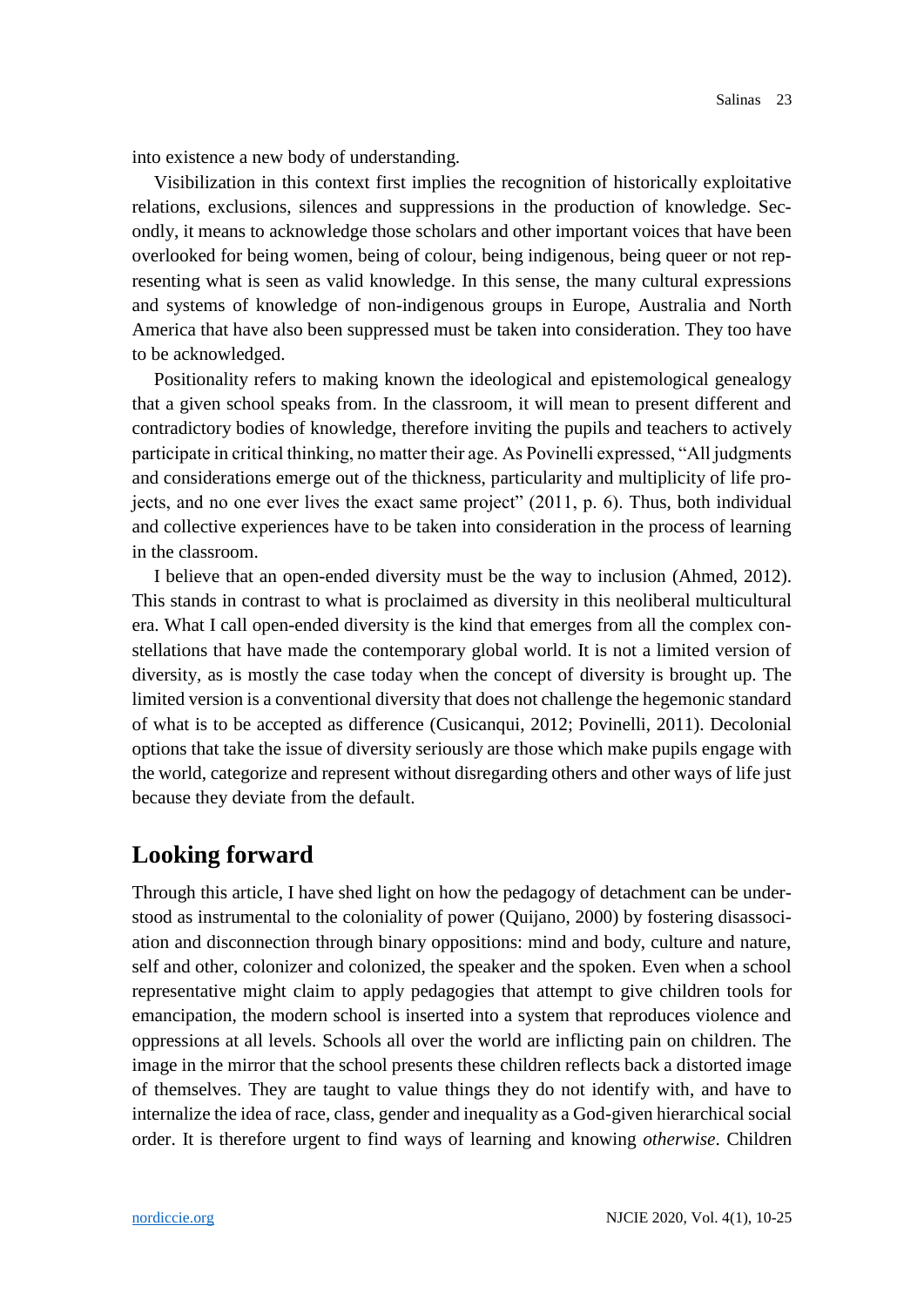into existence a new body of understanding.

Visibilization in this context first implies the recognition of historically exploitative relations, exclusions, silences and suppressions in the production of knowledge. Secondly, it means to acknowledge those scholars and other important voices that have been overlooked for being women, being of colour, being indigenous, being queer or not representing what is seen as valid knowledge. In this sense, the many cultural expressions and systems of knowledge of non-indigenous groups in Europe, Australia and North America that have also been suppressed must be taken into consideration. They too have to be acknowledged.

Positionality refers to making known the ideological and epistemological genealogy that a given school speaks from. In the classroom, it will mean to present different and contradictory bodies of knowledge, therefore inviting the pupils and teachers to actively participate in critical thinking, no matter their age. As Povinelli expressed, "All judgments and considerations emerge out of the thickness, particularity and multiplicity of life projects, and no one ever lives the exact same project" (2011, p. 6). Thus, both individual and collective experiences have to be taken into consideration in the process of learning in the classroom.

I believe that an open-ended diversity must be the way to inclusion (Ahmed, 2012). This stands in contrast to what is proclaimed as diversity in this neoliberal multicultural era. What I call open-ended diversity is the kind that emerges from all the complex constellations that have made the contemporary global world. It is not a limited version of diversity, as is mostly the case today when the concept of diversity is brought up. The limited version is a conventional diversity that does not challenge the hegemonic standard of what is to be accepted as difference (Cusicanqui, 2012; Povinelli, 2011). Decolonial options that take the issue of diversity seriously are those which make pupils engage with the world, categorize and represent without disregarding others and other ways of life just because they deviate from the default.

### **Looking forward**

Through this article, I have shed light on how the pedagogy of detachment can be understood as instrumental to the coloniality of power (Quijano, 2000) by fostering disassociation and disconnection through binary oppositions: mind and body, culture and nature, self and other, colonizer and colonized, the speaker and the spoken. Even when a school representative might claim to apply pedagogies that attempt to give children tools for emancipation, the modern school is inserted into a system that reproduces violence and oppressions at all levels. Schools all over the world are inflicting pain on children. The image in the mirror that the school presents these children reflects back a distorted image of themselves. They are taught to value things they do not identify with, and have to internalize the idea of race, class, gender and inequality as a God-given hierarchical social order. It is therefore urgent to find ways of learning and knowing *otherwise*. Children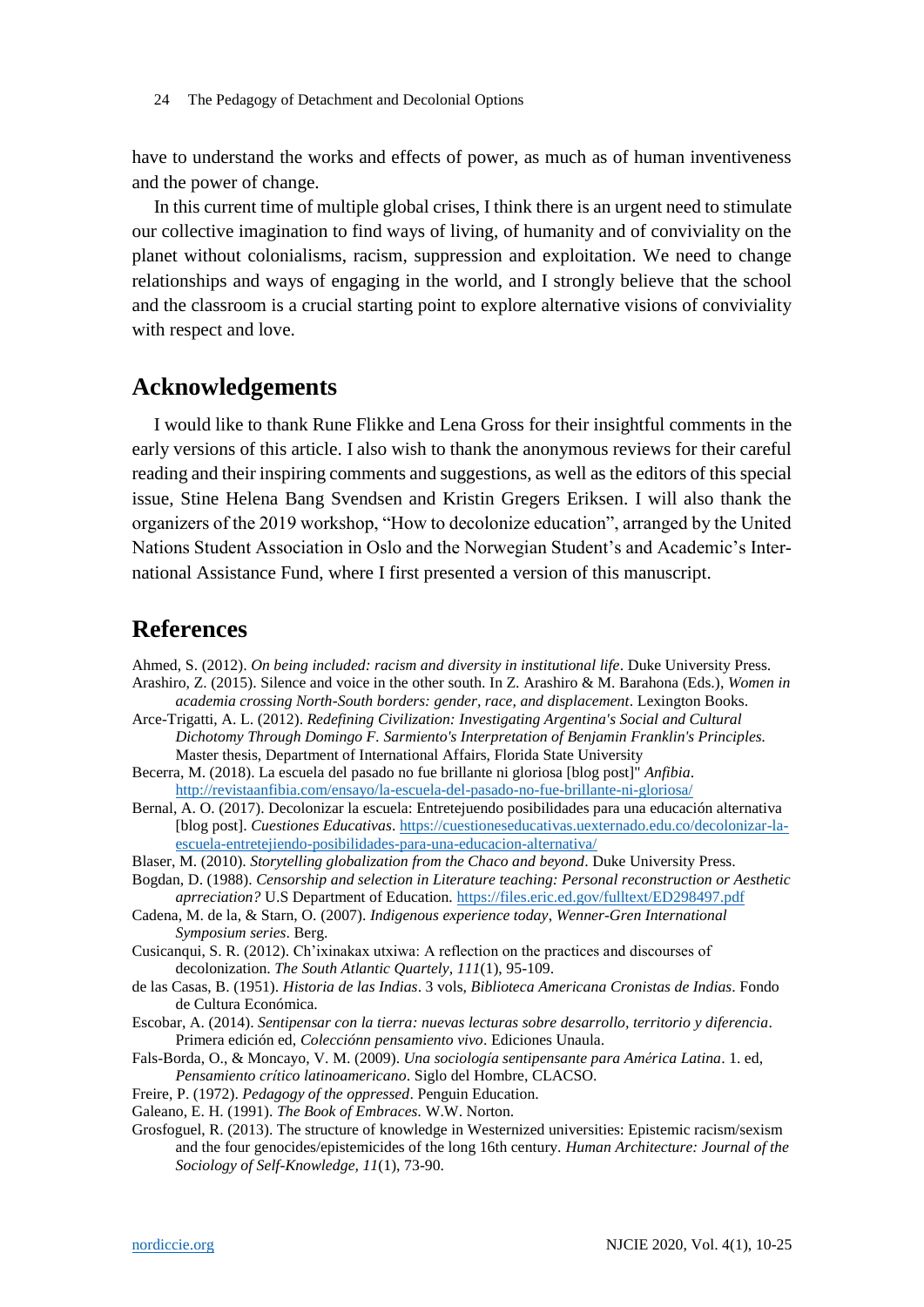have to understand the works and effects of power, as much as of human inventiveness and the power of change.

In this current time of multiple global crises, I think there is an urgent need to stimulate our collective imagination to find ways of living, of humanity and of conviviality on the planet without colonialisms, racism, suppression and exploitation. We need to change relationships and ways of engaging in the world, and I strongly believe that the school and the classroom is a crucial starting point to explore alternative visions of conviviality with respect and love.

#### **Acknowledgements**

I would like to thank Rune Flikke and Lena Gross for their insightful comments in the early versions of this article. I also wish to thank the anonymous reviews for their careful reading and their inspiring comments and suggestions, as well as the editors of this special issue, Stine Helena Bang Svendsen and Kristin Gregers Eriksen. I will also thank the organizers of the 2019 workshop, "How to decolonize education", arranged by the United Nations Student Association in Oslo and the Norwegian Student's and Academic's International Assistance Fund, where I first presented a version of this manuscript.

### **References**

- Ahmed, S. (2012). *On being included: racism and diversity in institutional life*. Duke University Press. Arashiro, Z. (2015). Silence and voice in the other south. In Z. Arashiro & M. Barahona (Eds.), *Women in*
- *academia crossing North-South borders: gender, race, and displacement*. Lexington Books. Arce-Trigatti, A. L. (2012). *Redefining Civilization: Investigating Argentina's Social and Cultural Dichotomy Through Domingo F. Sarmiento's Interpretation of Benjamin Franklin's Principles.*

Master thesis, Department of International Affairs, Florida State University

Becerra, M. (2018). La escuela del pasado no fue brillante ni gloriosa [blog post]" *Anfibia*. <http://revistaanfibia.com/ensayo/la-escuela-del-pasado-no-fue-brillante-ni-gloriosa/>

Bernal, A. O. (2017). Decolonizar la escuela: Entretejuendo posibilidades para una educación alternativa [blog post]. *Cuestiones Educativas*[. https://cuestioneseducativas.uexternado.edu.co/decolonizar-la](https://cuestioneseducativas.uexternado.edu.co/decolonizar-la-escuela-entretejiendo-posibilidades-para-una-educacion-alternativa/)[escuela-entretejiendo-posibilidades-para-una-educacion-alternativa/](https://cuestioneseducativas.uexternado.edu.co/decolonizar-la-escuela-entretejiendo-posibilidades-para-una-educacion-alternativa/)

Blaser, M. (2010). *Storytelling globalization from the Chaco and beyond*. Duke University Press.

- Bogdan, D. (1988). *Censorship and selection in Literature teaching: Personal reconstruction or Aesthetic aprreciation?* U.S Department of Education. <https://files.eric.ed.gov/fulltext/ED298497.pdf>
- Cadena, M. de la, & Starn, O. (2007). *Indigenous experience today*, *Wenner-Gren International Symposium series*. Berg.
- Cusicanqui, S. R. (2012). Ch'ixinakax utxiwa: A reflection on the practices and discourses of decolonization. *The South Atlantic Quartely, 111*(1), 95-109.
- de las Casas, B. (1951). *Historia de las Indias*. 3 vols, *Biblioteca Americana Cronistas de Indias*. Fondo de Cultura Económica.
- Escobar, A. (2014). *Sentipensar con la tierra: nuevas lecturas sobre desarrollo, territorio y diferencia*. Primera edición ed, *Colecciónn pensamiento vivo*. Ediciones Unaula.
- Fals-Borda, O., & Moncayo, V. M. (2009). *Una sociología sentipensante para América Latina*. 1. ed, *Pensamiento crítico latinoamericano*. Siglo del Hombre, CLACSO.
- Freire, P. (1972). *Pedagogy of the oppressed*. Penguin Education.
- Galeano, E. H. (1991). *The Book of Embraces.* W.W. Norton.
- Grosfoguel, R. (2013). The structure of knowledge in Westernized universities: Epistemic racism/sexism and the four genocides/epistemicides of the long 16th century. *Human Architecture: Journal of the Sociology of Self-Knowledge, 11*(1), 73-90.